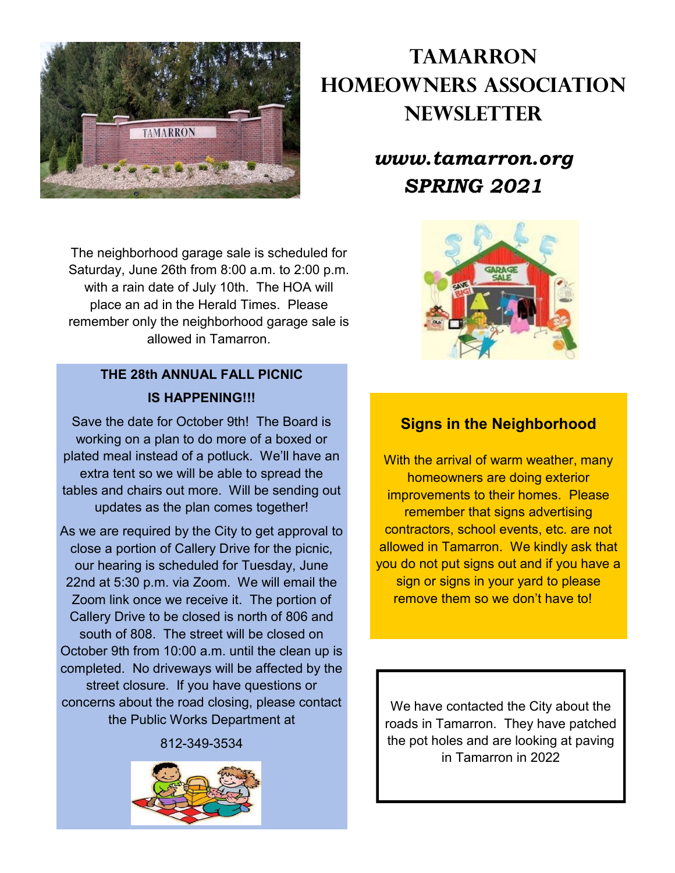

The neighborhood garage sale is scheduled for Saturday, June 26th from 8:00 a.m. to 2:00 p.m. with a rain date of July 10th. The HOA will place an ad in the Herald Times. Please remember only the neighborhood garage sale is allowed in Tamarron.

# **THE 28th ANNUAL FALL PICNIC IS HAPPENING!!!**

Save the date for October 9th! The Board is working on a plan to do more of a boxed or plated meal instead of a potluck. We'll have an extra tent so we will be able to spread the tables and chairs out more. Will be sending out updates as the plan comes together!

As we are required by the City to get approval to close a portion of Callery Drive for the picnic, our hearing is scheduled for Tuesday, June 22nd at 5:30 p.m. via Zoom. We will email the Zoom link once we receive it. The portion of Callery Drive to be closed is north of 806 and south of 808. The street will be closed on October 9th from 10:00 a.m. until the clean up is completed. No driveways will be affected by the street closure. If you have questions or concerns about the road closing, please contact the Public Works Department at

812-349-3534



# **Tamarron Homeowners Association Newsletter**

# *www.tamarron.org SPRING 2021*



### **Signs in the Neighborhood**

With the arrival of warm weather, many homeowners are doing exterior improvements to their homes. Please remember that signs advertising contractors, school events, etc. are not allowed in Tamarron. We kindly ask that you do not put signs out and if you have a sign or signs in your yard to please remove them so we don't have to!

We have contacted the City about the roads in Tamarron. They have patched the pot holes and are looking at paving in Tamarron in 2022